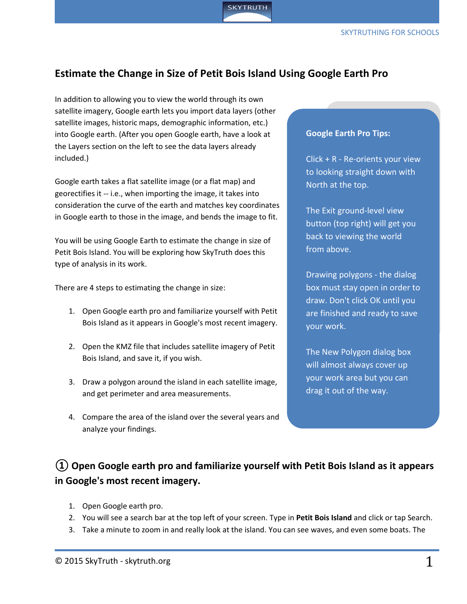

## **Estimate the Change in Size of Petit Bois Island Using Google Earth Pro**

In addition to allowing you to view the world through its own satellite imagery, Google earth lets you import data layers (other satellite images, historic maps, demographic information, etc.) into Google earth. (After you open Google earth, have a look at the Layers section on the left to see the data layers already included.)

Google earth takes a flat satellite image (or a flat map) and georectifies it -- i.e., when importing the image, it takes into consideration the curve of the earth and matches key coordinates in Google earth to those in the image, and bends the image to fit.

You will be using Google Earth to estimate the change in size of Petit Bois Island. You will be exploring how SkyTruth does this type of analysis in its work.

There are 4 steps to estimating the change in size:

- 1. Open Google earth pro and familiarize yourself with Petit Bois Island as it appears in Google's most recent imagery.
- 2. Open the KMZ file that includes satellite imagery of Petit Bois Island, and save it, if you wish.
- 3. Draw a polygon around the island in each satellite image, and get perimeter and area measurements.
- 4. Compare the area of the island over the several years and analyze your findings.

#### **Google Earth Pro Tips:**

Click + R - Re-orients your view to looking straight down with North at the top.

The Exit ground-level view button (top right) will get you back to viewing the world from above.

Drawing polygons - the dialog box must stay open in order to draw. Don't click OK until you are finished and ready to save your work.

The New Polygon dialog box will almost always cover up your work area but you can drag it out of the way.

# **① Open Google earth pro and familiarize yourself with Petit Bois Island as it appears in Google's most recent imagery.**

- 1. Open Google earth pro.
- 2. You will see a search bar at the top left of your screen. Type in **Petit Bois Island** and click or tap Search.
- 3. Take a minute to zoom in and really look at the island. You can see waves, and even some boats. The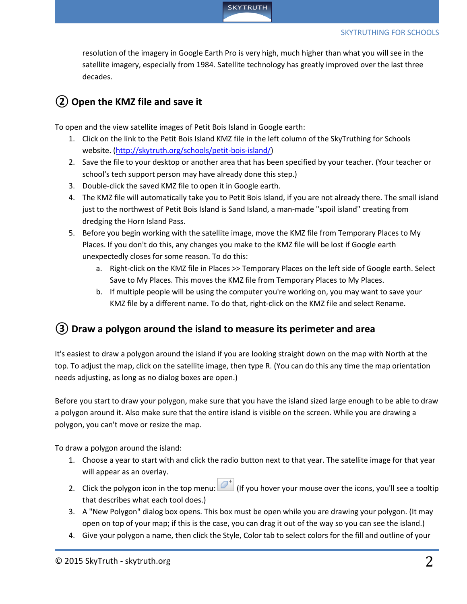

resolution of the imagery in Google Earth Pro is very high, much higher than what you will see in the satellite imagery, especially from 1984. Satellite technology has greatly improved over the last three decades.

## **②Open the KMZ file and save it**

To open and the view satellite images of Petit Bois Island in Google earth:

- 1. Click on the link to the Petit Bois Island KMZ file in the left column of the SkyTruthing for Schools website. [\(http://skytruth.org/schools/petit-bois-island/\)](http://skytruth.org/schools/petit-bois-island/)
- 2. Save the file to your desktop or another area that has been specified by your teacher. (Your teacher or school's tech support person may have already done this step.)
- 3. Double-click the saved KMZ file to open it in Google earth.
- 4. The KMZ file will automatically take you to Petit Bois Island, if you are not already there. The small island just to the northwest of Petit Bois Island is Sand Island, a man-made "spoil island" creating from dredging the Horn Island Pass.
- 5. Before you begin working with the satellite image, move the KMZ file from Temporary Places to My Places. If you don't do this, any changes you make to the KMZ file will be lost if Google earth unexpectedly closes for some reason. To do this:
	- a. Right-click on the KMZ file in Places >> Temporary Places on the left side of Google earth. Select Save to My Places. This moves the KMZ file from Temporary Places to My Places.
	- b. If multiple people will be using the computer you're working on, you may want to save your KMZ file by a different name. To do that, right-click on the KMZ file and select Rename.

## **③Draw a polygon around the island to measure its perimeter and area**

It's easiest to draw a polygon around the island if you are looking straight down on the map with North at the top. To adjust the map, click on the satellite image, then type R. (You can do this any time the map orientation needs adjusting, as long as no dialog boxes are open.)

Before you start to draw your polygon, make sure that you have the island sized large enough to be able to draw a polygon around it. Also make sure that the entire island is visible on the screen. While you are drawing a polygon, you can't move or resize the map.

To draw a polygon around the island:

- 1. Choose a year to start with and click the radio button next to that year. The satellite image for that year will appear as an overlay.
- 2. Click the polygon icon in the top menu:  $\mathbb{Z}^+$  (If you hover your mouse over the icons, you'll see a tooltip that describes what each tool does.)
- 3. A "New Polygon" dialog box opens. This box must be open while you are drawing your polygon. (It may open on top of your map; if this is the case, you can drag it out of the way so you can see the island.)
- 4. Give your polygon a name, then click the Style, Color tab to select colors for the fill and outline of your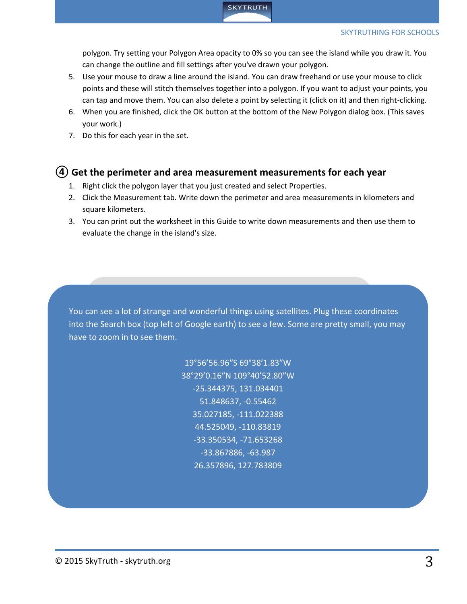

polygon. Try setting your Polygon Area opacity to 0% so you can see the island while you draw it. You can change the outline and fill settings after you've drawn your polygon.

- 5. Use your mouse to draw a line around the island. You can draw freehand or use your mouse to click points and these will stitch themselves together into a polygon. If you want to adjust your points, you can tap and move them. You can also delete a point by selecting it (click on it) and then right-clicking.
- 6. When you are finished, click the OK button at the bottom of the New Polygon dialog box. (This saves your work.)
- 7. Do this for each year in the set.

#### **④Get the perimeter and area measurement measurements for each year**

- 1. Right click the polygon layer that you just created and select Properties.
- 2. Click the Measurement tab. Write down the perimeter and area measurements in kilometers and square kilometers.
- 3. You can print out the worksheet in this Guide to write down measurements and then use them to evaluate the change in the island's size.

You can see a lot of strange and wonderful things using satellites. Plug these coordinates into the Search box (top left of Google earth) to see a few. Some are pretty small, you may have to zoom in to see them.

> 19°56'56.96″S 69°38'1.83″W 38°29'0.16″N 109°40'52.80″W -25.344375, 131.034401 51.848637, -0.55462 35.027185, -111.022388 44.525049, -110.83819 -33.350534, -71.653268 -33.867886, -63.987 26.357896, 127.783809